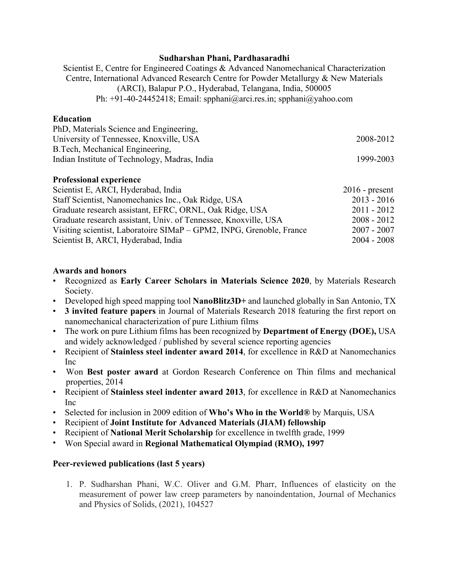#### **Sudharshan Phani, Pardhasaradhi**

Scientist E, Centre for Engineered Coatings & Advanced Nanomechanical Characterization Centre, International Advanced Research Centre for Powder Metallurgy & New Materials (ARCI), Balapur P.O., Hyderabad, Telangana, India, 500005 Ph: +91-40-24452418; Email: spphani@arci.res.in; spphani@yahoo.com

#### **Education**

| PhD, Materials Science and Engineering,       |           |
|-----------------------------------------------|-----------|
| University of Tennessee, Knoxville, USA       | 2008-2012 |
| B. Tech, Mechanical Engineering,              |           |
| Indian Institute of Technology, Madras, India | 1999-2003 |
|                                               |           |

## **Professional experience**

| Scientist E, ARCI, Hyderabad, India                                  | $2016$ - present |
|----------------------------------------------------------------------|------------------|
| Staff Scientist, Nanomechanics Inc., Oak Ridge, USA                  | $2013 - 2016$    |
| Graduate research assistant, EFRC, ORNL, Oak Ridge, USA              | $2011 - 2012$    |
| Graduate research assistant, Univ. of Tennessee, Knoxville, USA      | $2008 - 2012$    |
| Visiting scientist, Laboratoire SIMaP – GPM2, INPG, Grenoble, France | $2007 - 2007$    |
| Scientist B, ARCI, Hyderabad, India                                  | $2004 - 2008$    |

## **Awards and honors**

- Recognized as **Early Career Scholars in Materials Science 2020**, by Materials Research Society.
- Developed high speed mapping tool **NanoBlitz3D+** and launched globally in San Antonio, TX
- **3 invited feature papers** in Journal of Materials Research 2018 featuring the first report on nanomechanical characterization of pure Lithium films
- The work on pure Lithium films has been recognized by **Department of Energy (DOE),** USA and widely acknowledged / published by several science reporting agencies
- Recipient of **Stainless steel indenter award 2014**, for excellence in R&D at Nanomechanics Inc
- Won **Best poster award** at Gordon Research Conference on Thin films and mechanical properties, 2014
- Recipient of **Stainless steel indenter award 2013**, for excellence in R&D at Nanomechanics Inc
- Selected for inclusion in 2009 edition of **Who's Who in the World®** by Marquis, USA
- Recipient of **Joint Institute for Advanced Materials (JIAM) fellowship**
- Recipient of **National Merit Scholarship** for excellence in twelfth grade, 1999
- Won Special award in **Regional Mathematical Olympiad (RMO), 1997**

# **Peer-reviewed publications (last 5 years)**

1. P. Sudharshan Phani, W.C. Oliver and G.M. Pharr, Influences of elasticity on the measurement of power law creep parameters by nanoindentation, Journal of Mechanics and Physics of Solids, (2021), 104527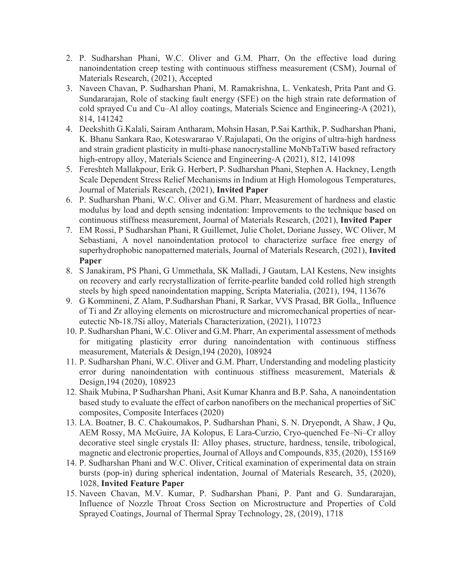- 2. P. Sudharshan Phani, W.C. Oliver and G.M. Pharr, On the effective load during nanoindentation creep testing with continuous stiffness measurement (CSM), Journal of Materials Research, (2021), Accepted
- 3. Naveen Chavan, P. Sudharshan Phani, M. Ramakrishna, L. Venkatesh, Prita Pant and G. Sundararajan, Role of stacking fault energy (SFE) on the high strain rate deformation of cold sprayed Cu and Cu–Al alloy coatings, Materials Science and Engineering-A (2021), 814, 141242
- 4. Deekshith G.Kalali, Sairam Antharam, Mohsin Hasan, P.Sai Karthik, P. Sudharshan Phani, K. Bhanu Sankara Rao, Koteswararao V.Rajulapati, On the origins of ultra-high hardness and strain gradient plasticity in multi-phase nanocrystalline MoNbTaTiW based refractory high-entropy alloy, Materials Science and Engineering-A (2021), 812, 141098
- 5. Fereshteh Mallakpour, Erik G. Herbert, P. Sudharshan Phani, Stephen A. Hackney, Length Scale Dependent Stress Relief Mechanisms in Indium at High Homologous Temperatures, Journal of Materials Research, (2021), **Invited Paper**
- 6. P. Sudharshan Phani, W.C. Oliver and G.M. Pharr, Measurement of hardness and elastic modulus by load and depth sensing indentation: Improvements to the technique based on continuous stiffness measurement, Journal of Materials Research, (2021), **Invited Paper**
- 7. EM Rossi, P Sudharshan Phani, R Guillemet, Julie Cholet, Doriane Jussey, WC Oliver, M Sebastiani, A novel nanoindentation protocol to characterize surface free energy of superhydrophobic nanopatterned materials, Journal of Materials Research, (2021), **Invited Paper**
- 8. S Janakiram, PS Phani, G Ummethala, SK Malladi, J Gautam, LAI Kestens, New insights on recovery and early recrystallization of ferrite-pearlite banded cold rolled high strength steels by high speed nanoindentation mapping, Scripta Materialia, (2021), 194, 113676
- 9. G Kommineni, Z Alam, P.Sudharshan Phani, R Sarkar, VVS Prasad, BR Golla,, Influence of Ti and Zr alloying elements on microstructure and micromechanical properties of neareutectic Nb-18.7Si alloy, Materials Characterization, (2021), 110723
- 10. P. Sudharshan Phani, W.C. Oliver and G.M. Pharr, An experimental assessment of methods for mitigating plasticity error during nanoindentation with continuous stiffness measurement, Materials & Design,194 (2020), 108924
- 11. P. Sudharshan Phani, W.C. Oliver and G.M. Pharr, Understanding and modeling plasticity error during nanoindentation with continuous stiffness measurement, Materials & Design,194 (2020), 108923
- 12. Shaik Mubina, P Sudharshan Phani, Asit Kumar Khanra and B.P. Saha, A nanoindentation based study to evaluate the effect of carbon nanofibers on the mechanical properties of SiC composites, Composite Interfaces (2020)
- 13. LA. Boatner, B. C. Chakoumakos, P. Sudharshan Phani, S. N. Dryepondt, A Shaw, J Qu, AEM Rossy, MA McGuire, JA Kolopus, E Lara-Curzio, Cryo-quenched Fe–Ni–Cr alloy decorative steel single crystals II: Alloy phases, structure, hardness, tensile, tribological, magnetic and electronic properties, Journal of Alloys and Compounds, 835, (2020), 155169
- 14. P. Sudharshan Phani and W.C. Oliver, Critical examination of experimental data on strain bursts (pop-in) during spherical indentation, Journal of Materials Research, 35, (2020), 1028, **Invited Feature Paper**
- 15. Naveen Chavan, M.V. Kumar, P. Sudharshan Phani, P. Pant and G. Sundararajan, Influence of Nozzle Throat Cross Section on Microstructure and Properties of Cold Sprayed Coatings, Journal of Thermal Spray Technology, 28, (2019), 1718